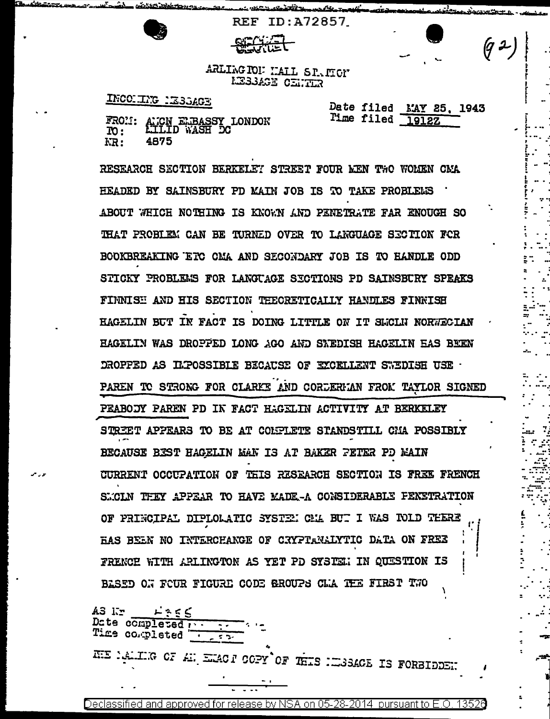<u> allan morano - </u>

REF ID:A72857

## ARLING TON MALL SPACTOM **LESSAGE CENTER**

## INCORING MESSAGE

Date filed MAY 25, 1943 Time filed 19127.

 $(9-)$ 

 $\mathbb{Z}^2$ 

|                   | FROM: AMCN ELBASSY LONDON<br>TO: LILLID WASH DC |
|-------------------|-------------------------------------------------|
| $\overline{10}$ : |                                                 |
| KR:               | 4875                                            |

RESEARCH SECTION BERKELET STREET FOUR MEN TWO WOLEN CMA HEADED BY SAINSBURY PD MAIN JOB IS TO TAKE PROBLELS ABOUT WEICH NOTHING IS KNOWN AND PENETRATE FAR ENOUGH SO THAT PROBLEM CAN BE TURNED OVER TO LANGUAGE SECTION FOR BOOKBREAKING ETC CMA AND SECONDARY JOB IS TO HANDLE ODD STICKY PROBLEMS FOR LANGUAGE SECTIONS PD SAINSBURY SPEAKS FINNISH AND HIS SECTION TEEORETICALLY HANDLES FINNISH HAGELIN BUT IN FACT IS DOING LITTLE ON IT SLICLN NORWECIAN HAGELIN WAS DROPPED LONG AGO AND SNEDISH HAGELIN EAS BEEN DROPPED AS ILPOSSIBLE BECAUSE OF EXCELLENT SWEDISH USE . PAREN TO STRONG FOR CLARKE AND CORDERMAN FROM TAYLOR SIGNED PEABODY PAREN PD IN FACT HAGELIN ACTIVITY AT BERKELEY STREET APPEARS TO BE AT COLPLETE STANDSTILL CHA POSSIBLY BECAUSE BEST HAGELIN MAN IS AT BAKER FETER PD MAIN **CURRENT OCCUPATION OF THIS RESEARCH SECTION IS FREE FRENCH** SMOLN THEY APPEAR TO HAVE MADE -A CONSIDERABLE PENETRATION OF PRINCIPAL DIPLOLATIC SYSTEM CMA BUT I WAS TOLD TEERE HAS BEEN NO INTERCHANGE OF CRYPTANALYTIC DATA ON FREE FRENCE WITH ARLINGTON AS YET PD SYSTEM IN QUESTION IS BASED ON FOUR FIGURE CODE GROUPS CLA THE FIRST TWO

 $L = 555$ AS 1: Date completed research Time completed Trans REE MALIKE OF AN EMACT COPY OF THIS NEURALGE IS FORBIDDENT